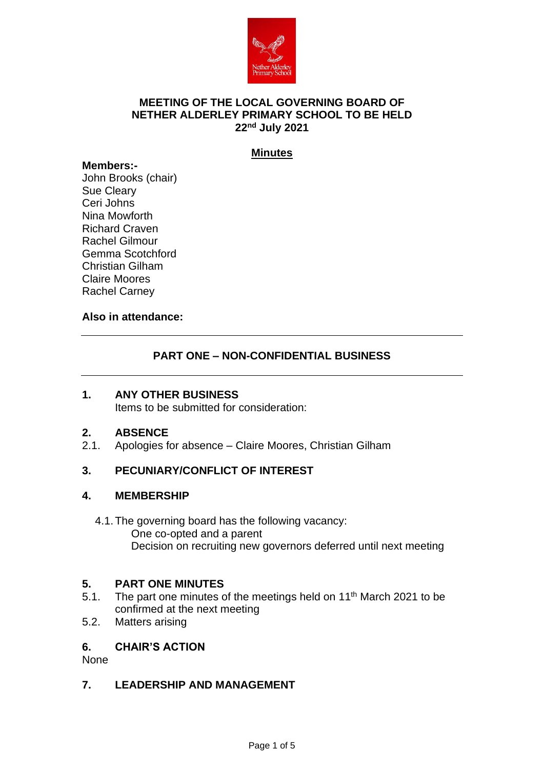

## **MEETING OF THE LOCAL GOVERNING BOARD OF NETHER ALDERLEY PRIMARY SCHOOL TO BE HELD 22nd July 2021**

## **Minutes**

#### **Members:-**

John Brooks (chair) Sue Cleary Ceri Johns Nina Mowforth Richard Craven Rachel Gilmour Gemma Scotchford Christian Gilham Claire Moores Rachel Carney

#### **Also in attendance:**

## **PART ONE – NON-CONFIDENTIAL BUSINESS**

## **1. ANY OTHER BUSINESS**

Items to be submitted for consideration:

## **2. ABSENCE**

Apologies for absence – Claire Moores, Christian Gilham

## **3. PECUNIARY/CONFLICT OF INTEREST**

## **4. MEMBERSHIP**

4.1.The governing board has the following vacancy: One co-opted and a parent Decision on recruiting new governors deferred until next meeting

## **5. PART ONE MINUTES**

- 5.1. The part one minutes of the meetings held on  $11<sup>th</sup>$  March 2021 to be confirmed at the next meeting
- 5.2. Matters arising

## **6. CHAIR'S ACTION**

None

## **7. LEADERSHIP AND MANAGEMENT**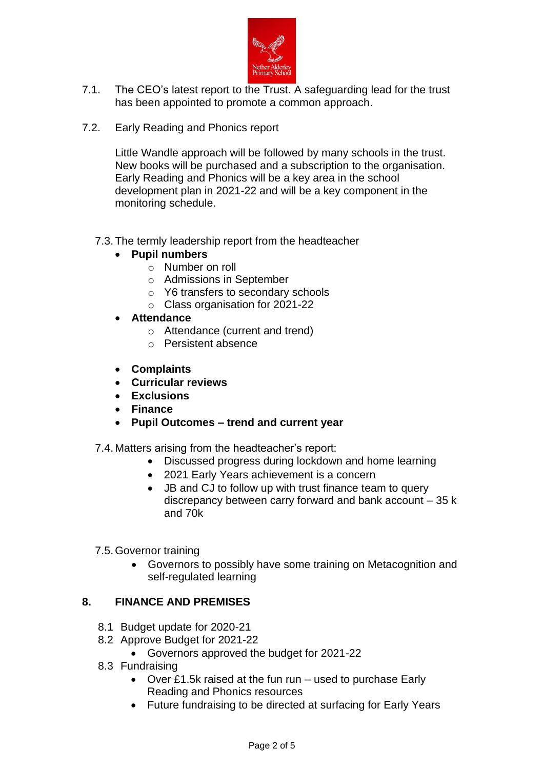

- 7.1. The CEO's latest report to the Trust. A safeguarding lead for the trust has been appointed to promote a common approach.
- 7.2. Early Reading and Phonics report

Little Wandle approach will be followed by many schools in the trust. New books will be purchased and a subscription to the organisation. Early Reading and Phonics will be a key area in the school development plan in 2021-22 and will be a key component in the monitoring schedule.

## 7.3.The termly leadership report from the headteacher

- **Pupil numbers**
	- o Number on roll
	- o Admissions in September
	- o Y6 transfers to secondary schools
	- o Class organisation for 2021-22
- **Attendance**
	- o Attendance (current and trend)
	- o Persistent absence
- **Complaints**
- **Curricular reviews**
- **Exclusions**
- **Finance**
- **Pupil Outcomes – trend and current year**

## 7.4. Matters arising from the headteacher's report:

- Discussed progress during lockdown and home learning
- 2021 Early Years achievement is a concern
- JB and CJ to follow up with trust finance team to query discrepancy between carry forward and bank account – 35 k and 70k
- 7.5.Governor training
	- Governors to possibly have some training on Metacognition and self-regulated learning

## **8. FINANCE AND PREMISES**

- 8.1 Budget update for 2020-21
- 8.2 Approve Budget for 2021-22
	- Governors approved the budget for 2021-22
- 8.3 Fundraising
	- Over £1.5k raised at the fun run used to purchase Early Reading and Phonics resources
	- Future fundraising to be directed at surfacing for Early Years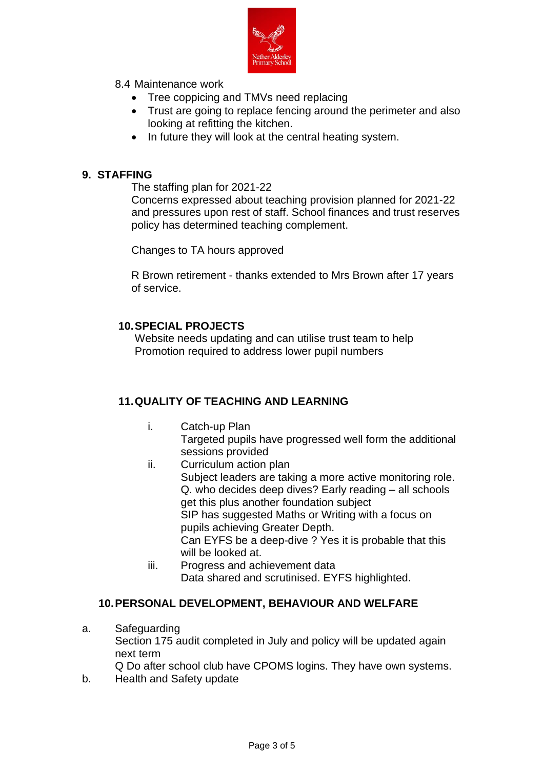

- 8.4 Maintenance work
	- Tree coppicing and TMVs need replacing
	- Trust are going to replace fencing around the perimeter and also looking at refitting the kitchen.
	- In future they will look at the central heating system.

## **9. STAFFING**

The staffing plan for 2021-22

Concerns expressed about teaching provision planned for 2021-22 and pressures upon rest of staff. School finances and trust reserves policy has determined teaching complement.

Changes to TA hours approved

R Brown retirement - thanks extended to Mrs Brown after 17 years of service.

## **10.SPECIAL PROJECTS**

Website needs updating and can utilise trust team to help Promotion required to address lower pupil numbers

## **11.QUALITY OF TEACHING AND LEARNING**

- i. Catch-up Plan Targeted pupils have progressed well form the additional sessions provided
- ii. Curriculum action plan Subject leaders are taking a more active monitoring role. Q. who decides deep dives? Early reading – all schools get this plus another foundation subject SIP has suggested Maths or Writing with a focus on pupils achieving Greater Depth. Can EYFS be a deep-dive ? Yes it is probable that this will be looked at.
- iii. Progress and achievement data Data shared and scrutinised. EYFS highlighted.

## **10.PERSONAL DEVELOPMENT, BEHAVIOUR AND WELFARE**

- a. Safeguarding Section 175 audit completed in July and policy will be updated again next term Q Do after school club have CPOMS logins. They have own systems.
- b. Health and Safety update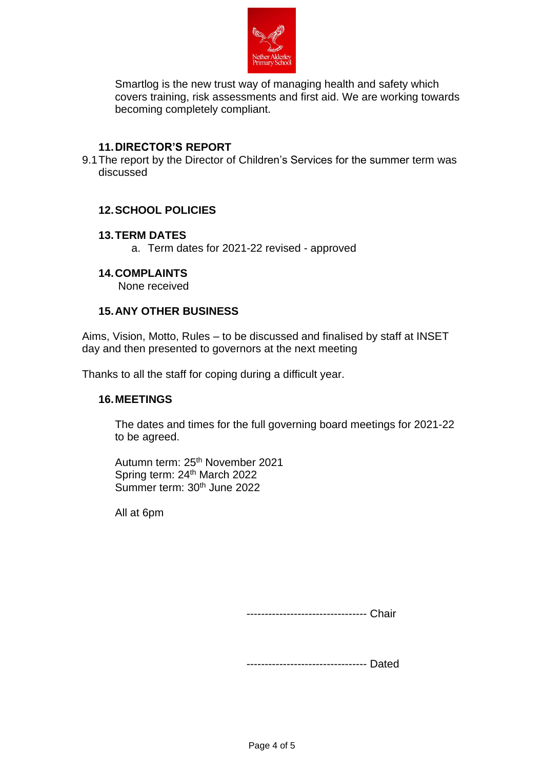

Smartlog is the new trust way of managing health and safety which covers training, risk assessments and first aid. We are working towards becoming completely compliant.

#### **11.DIRECTOR'S REPORT**

9.1The report by the Director of Children's Services for the summer term was discussed

## **12.SCHOOL POLICIES**

#### **13.TERM DATES**

a. Term dates for 2021-22 revised - approved

#### **14.COMPLAINTS**

None received

#### **15.ANY OTHER BUSINESS**

Aims, Vision, Motto, Rules – to be discussed and finalised by staff at INSET day and then presented to governors at the next meeting

Thanks to all the staff for coping during a difficult year.

## **16.MEETINGS**

The dates and times for the full governing board meetings for 2021-22 to be agreed.

Autumn term: 25<sup>th</sup> November 2021 Spring term: 24<sup>th</sup> March 2022 Summer term: 30th June 2022

All at 6pm

--------------------------------- Chair

--------------------------------- Dated